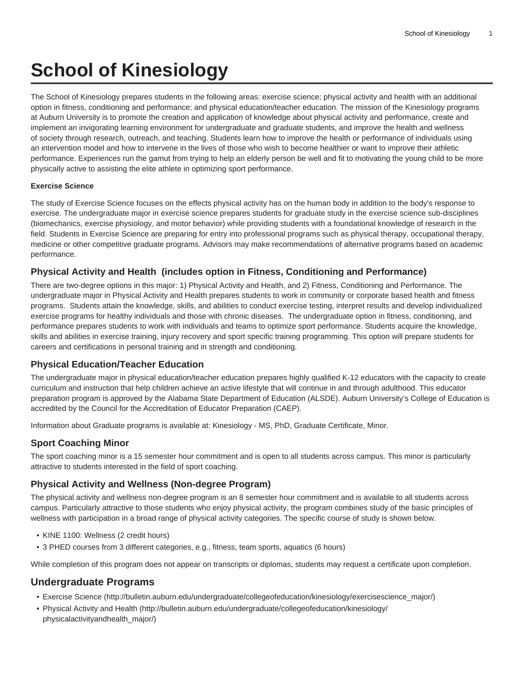# **School of Kinesiology**

The School of Kinesiology prepares students in the following areas: exercise science; physical activity and health with an additional option in fitness, conditioning and performance; and physical education/teacher education. The mission of the Kinesiology programs at Auburn University is to promote the creation and application of knowledge about physical activity and performance, create and implement an invigorating learning environment for undergraduate and graduate students, and improve the health and wellness of society through research, outreach, and teaching. Students learn how to improve the health or performance of individuals using an intervention model and how to intervene in the lives of those who wish to become healthier or want to improve their athletic performance. Experiences run the gamut from trying to help an elderly person be well and fit to motivating the young child to be more physically active to assisting the elite athlete in optimizing sport performance.

#### **Exercise Science**

The study of Exercise Science focuses on the effects physical activity has on the human body in addition to the body's response to exercise. The undergraduate major in exercise science prepares students for graduate study in the exercise science sub-disciplines (biomechanics, exercise physiology, and motor behavior) while providing students with a foundational knowledge of research in the field. Students in Exercise Science are preparing for entry into professional programs such as physical therapy, occupational therapy, medicine or other competitive graduate programs. Advisors may make recommendations of alternative programs based on academic performance.

#### **Physical Activity and Health (includes option in Fitness, Conditioning and Performance)**

There are two-degree options in this major: 1) Physical Activity and Health, and 2) Fitness, Conditioning and Performance. The undergraduate major in Physical Activity and Health prepares students to work in community or corporate based health and fitness programs. Students attain the knowledge, skills, and abilities to conduct exercise testing, interpret results and develop individualized exercise programs for healthy individuals and those with chronic diseases. The undergraduate option in fitness, conditioning, and performance prepares students to work with individuals and teams to optimize sport performance. Students acquire the knowledge, skills and abilities in exercise training, injury recovery and sport specific training programming. This option will prepare students for careers and certifications in personal training and in strength and conditioning.

#### **Physical Education/Teacher Education**

The undergraduate major in physical education/teacher education prepares highly qualified K-12 educators with the capacity to create curriculum and instruction that help children achieve an active lifestyle that will continue in and through adulthood. This educator preparation program is approved by the Alabama State Department of Education (ALSDE). Auburn University's College of Education is accredited by the Council for the Accreditation of Educator Preparation (CAEP).

Information about Graduate programs is available at: Kinesiology - MS, PhD, Graduate Certificate, Minor.

#### **Sport Coaching Minor**

The sport coaching minor is a 15 semester hour commitment and is open to all students across campus. This minor is particularly attractive to students interested in the field of sport coaching.

#### **Physical Activity and Wellness (Non-degree Program)**

The physical activity and wellness non-degree program is an 8 semester hour commitment and is available to all students across campus. Particularly attractive to those students who enjoy physical activity, the program combines study of the basic principles of wellness with participation in a broad range of physical activity categories. The specific course of study is shown below.

- KINE 1100: Wellness (2 credit hours)
- 3 PHED courses from 3 different categories, e.g., fitness, team sports, aquatics (6 hours)

While completion of this program does not appear on transcripts or diplomas, students may request a certificate upon completion.

## **Undergraduate Programs**

- [Exercise Science](http://bulletin.auburn.edu/undergraduate/collegeofeducation/kinesiology/exercisescience_major/) ([http://bulletin.auburn.edu/undergraduate/collegeofeducation/kinesiology/exercisescience\\_major/\)](http://bulletin.auburn.edu/undergraduate/collegeofeducation/kinesiology/exercisescience_major/)
- [Physical Activity and Health \(http://bulletin.auburn.edu/undergraduate/collegeofeducation/kinesiology/](http://bulletin.auburn.edu/undergraduate/collegeofeducation/kinesiology/physicalactivityandhealth_major/) [physicalactivityandhealth\\_major/\)](http://bulletin.auburn.edu/undergraduate/collegeofeducation/kinesiology/physicalactivityandhealth_major/)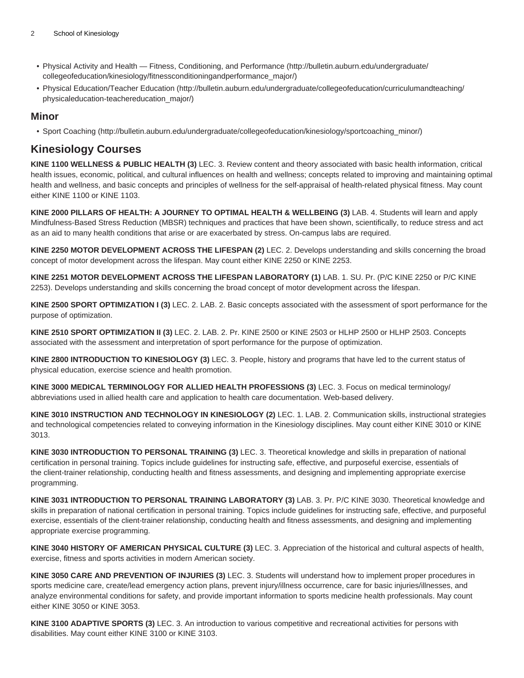- [Physical Activity and Health Fitness, Conditioning, and Performance \(http://bulletin.auburn.edu/undergraduate/](http://bulletin.auburn.edu/undergraduate/collegeofeducation/kinesiology/fitnessconditioningandperformance_major/) [collegeofeducation/kinesiology/fitnessconditioningandperformance\\_major/](http://bulletin.auburn.edu/undergraduate/collegeofeducation/kinesiology/fitnessconditioningandperformance_major/))
- [Physical Education/Teacher Education](http://bulletin.auburn.edu/undergraduate/collegeofeducation/curriculumandteaching/physicaleducation-teachereducation_major/) ([http://bulletin.auburn.edu/undergraduate/collegeofeducation/curriculumandteaching/](http://bulletin.auburn.edu/undergraduate/collegeofeducation/curriculumandteaching/physicaleducation-teachereducation_major/) [physicaleducation-teachereducation\\_major/\)](http://bulletin.auburn.edu/undergraduate/collegeofeducation/curriculumandteaching/physicaleducation-teachereducation_major/)

### **Minor**

• [Sport Coaching](http://bulletin.auburn.edu/undergraduate/collegeofeducation/kinesiology/sportcoaching_minor/) ([http://bulletin.auburn.edu/undergraduate/collegeofeducation/kinesiology/sportcoaching\\_minor/\)](http://bulletin.auburn.edu/undergraduate/collegeofeducation/kinesiology/sportcoaching_minor/)

## **Kinesiology Courses**

**KINE 1100 WELLNESS & PUBLIC HEALTH (3)** LEC. 3. Review content and theory associated with basic health information, critical health issues, economic, political, and cultural influences on health and wellness; concepts related to improving and maintaining optimal health and wellness, and basic concepts and principles of wellness for the self-appraisal of health-related physical fitness. May count either KINE 1100 or KINE 1103.

**KINE 2000 PILLARS OF HEALTH: A JOURNEY TO OPTIMAL HEALTH & WELLBEING (3)** LAB. 4. Students will learn and apply Mindfulness-Based Stress Reduction (MBSR) techniques and practices that have been shown, scientifically, to reduce stress and act as an aid to many health conditions that arise or are exacerbated by stress. On-campus labs are required.

**KINE 2250 MOTOR DEVELOPMENT ACROSS THE LIFESPAN (2)** LEC. 2. Develops understanding and skills concerning the broad concept of motor development across the lifespan. May count either KINE 2250 or KINE 2253.

**KINE 2251 MOTOR DEVELOPMENT ACROSS THE LIFESPAN LABORATORY (1)** LAB. 1. SU. Pr. (P/C KINE 2250 or P/C KINE 2253). Develops understanding and skills concerning the broad concept of motor development across the lifespan.

**KINE 2500 SPORT OPTIMIZATION I (3)** LEC. 2. LAB. 2. Basic concepts associated with the assessment of sport performance for the purpose of optimization.

**KINE 2510 SPORT OPTIMIZATION II (3)** LEC. 2. LAB. 2. Pr. KINE 2500 or KINE 2503 or HLHP 2500 or HLHP 2503. Concepts associated with the assessment and interpretation of sport performance for the purpose of optimization.

**KINE 2800 INTRODUCTION TO KINESIOLOGY (3)** LEC. 3. People, history and programs that have led to the current status of physical education, exercise science and health promotion.

**KINE 3000 MEDICAL TERMINOLOGY FOR ALLIED HEALTH PROFESSIONS (3)** LEC. 3. Focus on medical terminology/ abbreviations used in allied health care and application to health care documentation. Web-based delivery.

**KINE 3010 INSTRUCTION AND TECHNOLOGY IN KINESIOLOGY (2)** LEC. 1. LAB. 2. Communication skills, instructional strategies and technological competencies related to conveying information in the Kinesiology disciplines. May count either KINE 3010 or KINE 3013.

**KINE 3030 INTRODUCTION TO PERSONAL TRAINING (3)** LEC. 3. Theoretical knowledge and skills in preparation of national certification in personal training. Topics include guidelines for instructing safe, effective, and purposeful exercise, essentials of the client-trainer relationship, conducting health and fitness assessments, and designing and implementing appropriate exercise programming.

**KINE 3031 INTRODUCTION TO PERSONAL TRAINING LABORATORY (3)** LAB. 3. Pr. P/C KINE 3030. Theoretical knowledge and skills in preparation of national certification in personal training. Topics include guidelines for instructing safe, effective, and purposeful exercise, essentials of the client-trainer relationship, conducting health and fitness assessments, and designing and implementing appropriate exercise programming.

**KINE 3040 HISTORY OF AMERICAN PHYSICAL CULTURE (3)** LEC. 3. Appreciation of the historical and cultural aspects of health, exercise, fitness and sports activities in modern American society.

**KINE 3050 CARE AND PREVENTION OF INJURIES (3)** LEC. 3. Students will understand how to implement proper procedures in sports medicine care, create/lead emergency action plans, prevent injury/illness occurrence, care for basic injuries/illnesses, and analyze environmental conditions for safety, and provide important information to sports medicine health professionals. May count either KINE 3050 or KINE 3053.

**KINE 3100 ADAPTIVE SPORTS (3)** LEC. 3. An introduction to various competitive and recreational activities for persons with disabilities. May count either KINE 3100 or KINE 3103.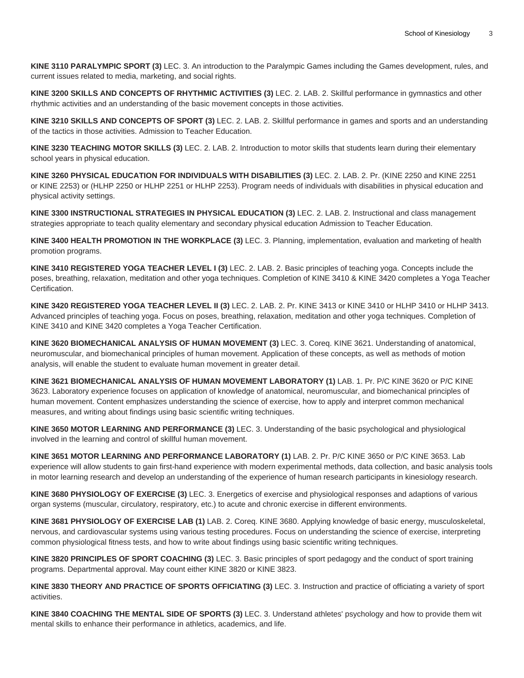**KINE 3110 PARALYMPIC SPORT (3)** LEC. 3. An introduction to the Paralympic Games including the Games development, rules, and current issues related to media, marketing, and social rights.

**KINE 3200 SKILLS AND CONCEPTS OF RHYTHMIC ACTIVITIES (3)** LEC. 2. LAB. 2. Skillful performance in gymnastics and other rhythmic activities and an understanding of the basic movement concepts in those activities.

**KINE 3210 SKILLS AND CONCEPTS OF SPORT (3)** LEC. 2. LAB. 2. Skillful performance in games and sports and an understanding of the tactics in those activities. Admission to Teacher Education.

**KINE 3230 TEACHING MOTOR SKILLS (3)** LEC. 2. LAB. 2. Introduction to motor skills that students learn during their elementary school years in physical education.

**KINE 3260 PHYSICAL EDUCATION FOR INDIVIDUALS WITH DISABILITIES (3)** LEC. 2. LAB. 2. Pr. (KINE 2250 and KINE 2251 or KINE 2253) or (HLHP 2250 or HLHP 2251 or HLHP 2253). Program needs of individuals with disabilities in physical education and physical activity settings.

**KINE 3300 INSTRUCTIONAL STRATEGIES IN PHYSICAL EDUCATION (3)** LEC. 2. LAB. 2. Instructional and class management strategies appropriate to teach quality elementary and secondary physical education Admission to Teacher Education.

**KINE 3400 HEALTH PROMOTION IN THE WORKPLACE (3)** LEC. 3. Planning, implementation, evaluation and marketing of health promotion programs.

**KINE 3410 REGISTERED YOGA TEACHER LEVEL I (3)** LEC. 2. LAB. 2. Basic principles of teaching yoga. Concepts include the poses, breathing, relaxation, meditation and other yoga techniques. Completion of KINE 3410 & KINE 3420 completes a Yoga Teacher Certification.

**KINE 3420 REGISTERED YOGA TEACHER LEVEL II (3)** LEC. 2. LAB. 2. Pr. KINE 3413 or KINE 3410 or HLHP 3410 or HLHP 3413. Advanced principles of teaching yoga. Focus on poses, breathing, relaxation, meditation and other yoga techniques. Completion of KINE 3410 and KINE 3420 completes a Yoga Teacher Certification.

**KINE 3620 BIOMECHANICAL ANALYSIS OF HUMAN MOVEMENT (3)** LEC. 3. Coreq. KINE 3621. Understanding of anatomical, neuromuscular, and biomechanical principles of human movement. Application of these concepts, as well as methods of motion analysis, will enable the student to evaluate human movement in greater detail.

**KINE 3621 BIOMECHANICAL ANALYSIS OF HUMAN MOVEMENT LABORATORY (1)** LAB. 1. Pr. P/C KINE 3620 or P/C KINE 3623. Laboratory experience focuses on application of knowledge of anatomical, neuromuscular, and biomechanical principles of human movement. Content emphasizes understanding the science of exercise, how to apply and interpret common mechanical measures, and writing about findings using basic scientific writing techniques.

**KINE 3650 MOTOR LEARNING AND PERFORMANCE (3)** LEC. 3. Understanding of the basic psychological and physiological involved in the learning and control of skillful human movement.

**KINE 3651 MOTOR LEARNING AND PERFORMANCE LABORATORY (1)** LAB. 2. Pr. P/C KINE 3650 or P/C KINE 3653. Lab experience will allow students to gain first-hand experience with modern experimental methods, data collection, and basic analysis tools in motor learning research and develop an understanding of the experience of human research participants in kinesiology research.

**KINE 3680 PHYSIOLOGY OF EXERCISE (3)** LEC. 3. Energetics of exercise and physiological responses and adaptions of various organ systems (muscular, circulatory, respiratory, etc.) to acute and chronic exercise in different environments.

**KINE 3681 PHYSIOLOGY OF EXERCISE LAB (1)** LAB. 2. Coreq. KINE 3680. Applying knowledge of basic energy, musculoskeletal, nervous, and cardiovascular systems using various testing procedures. Focus on understanding the science of exercise, interpreting common physiological fitness tests, and how to write about findings using basic scientific writing techniques.

**KINE 3820 PRINCIPLES OF SPORT COACHING (3)** LEC. 3. Basic principles of sport pedagogy and the conduct of sport training programs. Departmental approval. May count either KINE 3820 or KINE 3823.

**KINE 3830 THEORY AND PRACTICE OF SPORTS OFFICIATING (3)** LEC. 3. Instruction and practice of officiating a variety of sport activities.

**KINE 3840 COACHING THE MENTAL SIDE OF SPORTS (3)** LEC. 3. Understand athletes' psychology and how to provide them wit mental skills to enhance their performance in athletics, academics, and life.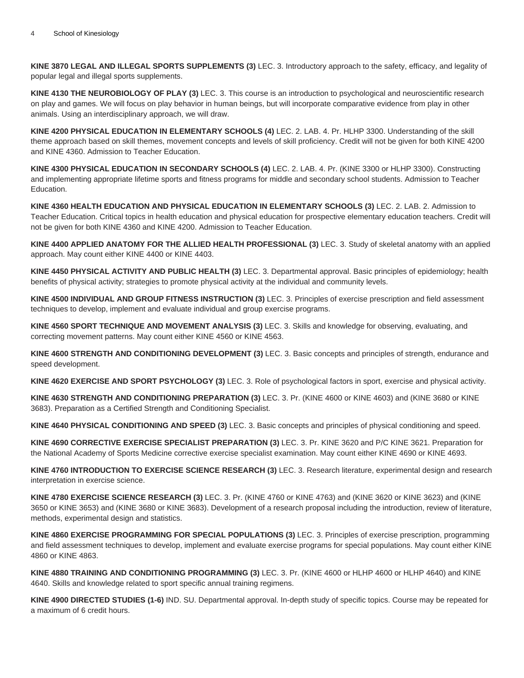**KINE 3870 LEGAL AND ILLEGAL SPORTS SUPPLEMENTS (3)** LEC. 3. Introductory approach to the safety, efficacy, and legality of popular legal and illegal sports supplements.

**KINE 4130 THE NEUROBIOLOGY OF PLAY (3)** LEC. 3. This course is an introduction to psychological and neuroscientific research on play and games. We will focus on play behavior in human beings, but will incorporate comparative evidence from play in other animals. Using an interdisciplinary approach, we will draw.

**KINE 4200 PHYSICAL EDUCATION IN ELEMENTARY SCHOOLS (4)** LEC. 2. LAB. 4. Pr. HLHP 3300. Understanding of the skill theme approach based on skill themes, movement concepts and levels of skill proficiency. Credit will not be given for both KINE 4200 and KINE 4360. Admission to Teacher Education.

**KINE 4300 PHYSICAL EDUCATION IN SECONDARY SCHOOLS (4)** LEC. 2. LAB. 4. Pr. (KINE 3300 or HLHP 3300). Constructing and implementing appropriate lifetime sports and fitness programs for middle and secondary school students. Admission to Teacher Education.

**KINE 4360 HEALTH EDUCATION AND PHYSICAL EDUCATION IN ELEMENTARY SCHOOLS (3)** LEC. 2. LAB. 2. Admission to Teacher Education. Critical topics in health education and physical education for prospective elementary education teachers. Credit will not be given for both KINE 4360 and KINE 4200. Admission to Teacher Education.

**KINE 4400 APPLIED ANATOMY FOR THE ALLIED HEALTH PROFESSIONAL (3)** LEC. 3. Study of skeletal anatomy with an applied approach. May count either KINE 4400 or KINE 4403.

**KINE 4450 PHYSICAL ACTIVITY AND PUBLIC HEALTH (3)** LEC. 3. Departmental approval. Basic principles of epidemiology; health benefits of physical activity; strategies to promote physical activity at the individual and community levels.

**KINE 4500 INDIVIDUAL AND GROUP FITNESS INSTRUCTION (3)** LEC. 3. Principles of exercise prescription and field assessment techniques to develop, implement and evaluate individual and group exercise programs.

**KINE 4560 SPORT TECHNIQUE AND MOVEMENT ANALYSIS (3)** LEC. 3. Skills and knowledge for observing, evaluating, and correcting movement patterns. May count either KINE 4560 or KINE 4563.

**KINE 4600 STRENGTH AND CONDITIONING DEVELOPMENT (3)** LEC. 3. Basic concepts and principles of strength, endurance and speed development.

**KINE 4620 EXERCISE AND SPORT PSYCHOLOGY (3)** LEC. 3. Role of psychological factors in sport, exercise and physical activity.

**KINE 4630 STRENGTH AND CONDITIONING PREPARATION (3)** LEC. 3. Pr. (KINE 4600 or KINE 4603) and (KINE 3680 or KINE 3683). Preparation as a Certified Strength and Conditioning Specialist.

**KINE 4640 PHYSICAL CONDITIONING AND SPEED (3)** LEC. 3. Basic concepts and principles of physical conditioning and speed.

**KINE 4690 CORRECTIVE EXERCISE SPECIALIST PREPARATION (3)** LEC. 3. Pr. KINE 3620 and P/C KINE 3621. Preparation for the National Academy of Sports Medicine corrective exercise specialist examination. May count either KINE 4690 or KINE 4693.

**KINE 4760 INTRODUCTION TO EXERCISE SCIENCE RESEARCH (3)** LEC. 3. Research literature, experimental design and research interpretation in exercise science.

**KINE 4780 EXERCISE SCIENCE RESEARCH (3)** LEC. 3. Pr. (KINE 4760 or KINE 4763) and (KINE 3620 or KINE 3623) and (KINE 3650 or KINE 3653) and (KINE 3680 or KINE 3683). Development of a research proposal including the introduction, review of literature, methods, experimental design and statistics.

**KINE 4860 EXERCISE PROGRAMMING FOR SPECIAL POPULATIONS (3)** LEC. 3. Principles of exercise prescription, programming and field assessment techniques to develop, implement and evaluate exercise programs for special populations. May count either KINE 4860 or KINE 4863.

**KINE 4880 TRAINING AND CONDITIONING PROGRAMMING (3)** LEC. 3. Pr. (KINE 4600 or HLHP 4600 or HLHP 4640) and KINE 4640. Skills and knowledge related to sport specific annual training regimens.

**KINE 4900 DIRECTED STUDIES (1-6)** IND. SU. Departmental approval. In-depth study of specific topics. Course may be repeated for a maximum of 6 credit hours.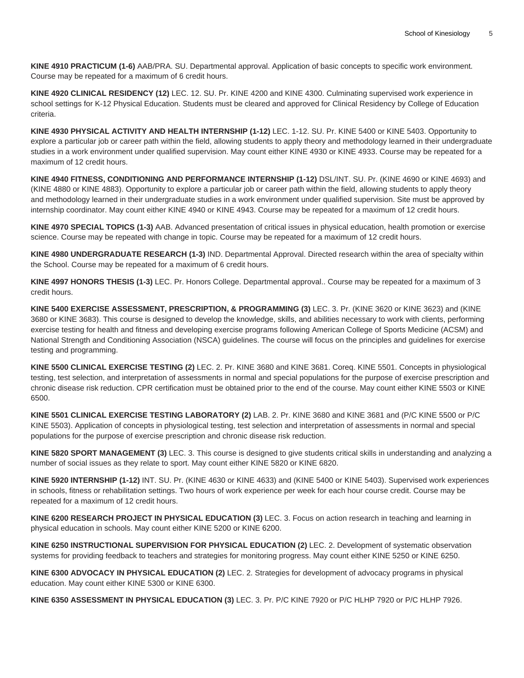**KINE 4910 PRACTICUM (1-6)** AAB/PRA. SU. Departmental approval. Application of basic concepts to specific work environment. Course may be repeated for a maximum of 6 credit hours.

**KINE 4920 CLINICAL RESIDENCY (12)** LEC. 12. SU. Pr. KINE 4200 and KINE 4300. Culminating supervised work experience in school settings for K-12 Physical Education. Students must be cleared and approved for Clinical Residency by College of Education criteria.

**KINE 4930 PHYSICAL ACTIVITY AND HEALTH INTERNSHIP (1-12)** LEC. 1-12. SU. Pr. KINE 5400 or KINE 5403. Opportunity to explore a particular job or career path within the field, allowing students to apply theory and methodology learned in their undergraduate studies in a work environment under qualified supervision. May count either KINE 4930 or KINE 4933. Course may be repeated for a maximum of 12 credit hours.

**KINE 4940 FITNESS, CONDITIONING AND PERFORMANCE INTERNSHIP (1-12)** DSL/INT. SU. Pr. (KINE 4690 or KINE 4693) and (KINE 4880 or KINE 4883). Opportunity to explore a particular job or career path within the field, allowing students to apply theory and methodology learned in their undergraduate studies in a work environment under qualified supervision. Site must be approved by internship coordinator. May count either KINE 4940 or KINE 4943. Course may be repeated for a maximum of 12 credit hours.

**KINE 4970 SPECIAL TOPICS (1-3)** AAB. Advanced presentation of critical issues in physical education, health promotion or exercise science. Course may be repeated with change in topic. Course may be repeated for a maximum of 12 credit hours.

**KINE 4980 UNDERGRADUATE RESEARCH (1-3)** IND. Departmental Approval. Directed research within the area of specialty within the School. Course may be repeated for a maximum of 6 credit hours.

**KINE 4997 HONORS THESIS (1-3)** LEC. Pr. Honors College. Departmental approval.. Course may be repeated for a maximum of 3 credit hours.

**KINE 5400 EXERCISE ASSESSMENT, PRESCRIPTION, & PROGRAMMING (3)** LEC. 3. Pr. (KINE 3620 or KINE 3623) and (KINE 3680 or KINE 3683). This course is designed to develop the knowledge, skills, and abilities necessary to work with clients, performing exercise testing for health and fitness and developing exercise programs following American College of Sports Medicine (ACSM) and National Strength and Conditioning Association (NSCA) guidelines. The course will focus on the principles and guidelines for exercise testing and programming.

**KINE 5500 CLINICAL EXERCISE TESTING (2)** LEC. 2. Pr. KINE 3680 and KINE 3681. Coreq. KINE 5501. Concepts in physiological testing, test selection, and interpretation of assessments in normal and special populations for the purpose of exercise prescription and chronic disease risk reduction. CPR certification must be obtained prior to the end of the course. May count either KINE 5503 or KINE 6500.

**KINE 5501 CLINICAL EXERCISE TESTING LABORATORY (2)** LAB. 2. Pr. KINE 3680 and KINE 3681 and (P/C KINE 5500 or P/C KINE 5503). Application of concepts in physiological testing, test selection and interpretation of assessments in normal and special populations for the purpose of exercise prescription and chronic disease risk reduction.

**KINE 5820 SPORT MANAGEMENT (3)** LEC. 3. This course is designed to give students critical skills in understanding and analyzing a number of social issues as they relate to sport. May count either KINE 5820 or KINE 6820.

**KINE 5920 INTERNSHIP (1-12)** INT. SU. Pr. (KINE 4630 or KINE 4633) and (KINE 5400 or KINE 5403). Supervised work experiences in schools, fitness or rehabilitation settings. Two hours of work experience per week for each hour course credit. Course may be repeated for a maximum of 12 credit hours.

**KINE 6200 RESEARCH PROJECT IN PHYSICAL EDUCATION (3)** LEC. 3. Focus on action research in teaching and learning in physical education in schools. May count either KINE 5200 or KINE 6200.

**KINE 6250 INSTRUCTIONAL SUPERVISION FOR PHYSICAL EDUCATION (2)** LEC. 2. Development of systematic observation systems for providing feedback to teachers and strategies for monitoring progress. May count either KINE 5250 or KINE 6250.

**KINE 6300 ADVOCACY IN PHYSICAL EDUCATION (2)** LEC. 2. Strategies for development of advocacy programs in physical education. May count either KINE 5300 or KINE 6300.

**KINE 6350 ASSESSMENT IN PHYSICAL EDUCATION (3)** LEC. 3. Pr. P/C KINE 7920 or P/C HLHP 7920 or P/C HLHP 7926.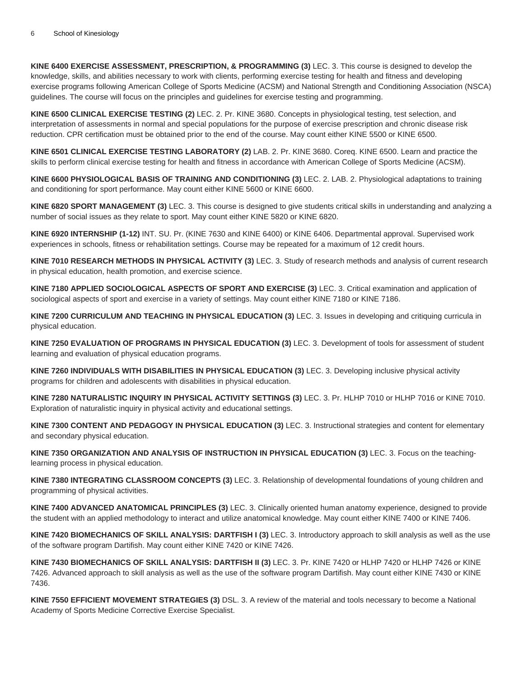**KINE 6400 EXERCISE ASSESSMENT, PRESCRIPTION, & PROGRAMMING (3)** LEC. 3. This course is designed to develop the knowledge, skills, and abilities necessary to work with clients, performing exercise testing for health and fitness and developing exercise programs following American College of Sports Medicine (ACSM) and National Strength and Conditioning Association (NSCA) guidelines. The course will focus on the principles and guidelines for exercise testing and programming.

**KINE 6500 CLINICAL EXERCISE TESTING (2)** LEC. 2. Pr. KINE 3680. Concepts in physiological testing, test selection, and interpretation of assessments in normal and special populations for the purpose of exercise prescription and chronic disease risk reduction. CPR certification must be obtained prior to the end of the course. May count either KINE 5500 or KINE 6500.

**KINE 6501 CLINICAL EXERCISE TESTING LABORATORY (2)** LAB. 2. Pr. KINE 3680. Coreq. KINE 6500. Learn and practice the skills to perform clinical exercise testing for health and fitness in accordance with American College of Sports Medicine (ACSM).

**KINE 6600 PHYSIOLOGICAL BASIS OF TRAINING AND CONDITIONING (3)** LEC. 2. LAB. 2. Physiological adaptations to training and conditioning for sport performance. May count either KINE 5600 or KINE 6600.

**KINE 6820 SPORT MANAGEMENT (3)** LEC. 3. This course is designed to give students critical skills in understanding and analyzing a number of social issues as they relate to sport. May count either KINE 5820 or KINE 6820.

**KINE 6920 INTERNSHIP (1-12)** INT. SU. Pr. (KINE 7630 and KINE 6400) or KINE 6406. Departmental approval. Supervised work experiences in schools, fitness or rehabilitation settings. Course may be repeated for a maximum of 12 credit hours.

**KINE 7010 RESEARCH METHODS IN PHYSICAL ACTIVITY (3)** LEC. 3. Study of research methods and analysis of current research in physical education, health promotion, and exercise science.

**KINE 7180 APPLIED SOCIOLOGICAL ASPECTS OF SPORT AND EXERCISE (3)** LEC. 3. Critical examination and application of sociological aspects of sport and exercise in a variety of settings. May count either KINE 7180 or KINE 7186.

**KINE 7200 CURRICULUM AND TEACHING IN PHYSICAL EDUCATION (3)** LEC. 3. Issues in developing and critiquing curricula in physical education.

**KINE 7250 EVALUATION OF PROGRAMS IN PHYSICAL EDUCATION (3)** LEC. 3. Development of tools for assessment of student learning and evaluation of physical education programs.

**KINE 7260 INDIVIDUALS WITH DISABILITIES IN PHYSICAL EDUCATION (3)** LEC. 3. Developing inclusive physical activity programs for children and adolescents with disabilities in physical education.

**KINE 7280 NATURALISTIC INQUIRY IN PHYSICAL ACTIVITY SETTINGS (3)** LEC. 3. Pr. HLHP 7010 or HLHP 7016 or KINE 7010. Exploration of naturalistic inquiry in physical activity and educational settings.

**KINE 7300 CONTENT AND PEDAGOGY IN PHYSICAL EDUCATION (3)** LEC. 3. Instructional strategies and content for elementary and secondary physical education.

**KINE 7350 ORGANIZATION AND ANALYSIS OF INSTRUCTION IN PHYSICAL EDUCATION (3)** LEC. 3. Focus on the teachinglearning process in physical education.

**KINE 7380 INTEGRATING CLASSROOM CONCEPTS (3)** LEC. 3. Relationship of developmental foundations of young children and programming of physical activities.

**KINE 7400 ADVANCED ANATOMICAL PRINCIPLES (3)** LEC. 3. Clinically oriented human anatomy experience, designed to provide the student with an applied methodology to interact and utilize anatomical knowledge. May count either KINE 7400 or KINE 7406.

**KINE 7420 BIOMECHANICS OF SKILL ANALYSIS: DARTFISH I (3)** LEC. 3. Introductory approach to skill analysis as well as the use of the software program Dartifish. May count either KINE 7420 or KINE 7426.

**KINE 7430 BIOMECHANICS OF SKILL ANALYSIS: DARTFISH II (3)** LEC. 3. Pr. KINE 7420 or HLHP 7420 or HLHP 7426 or KINE 7426. Advanced approach to skill analysis as well as the use of the software program Dartifish. May count either KINE 7430 or KINE 7436.

**KINE 7550 EFFICIENT MOVEMENT STRATEGIES (3)** DSL. 3. A review of the material and tools necessary to become a National Academy of Sports Medicine Corrective Exercise Specialist.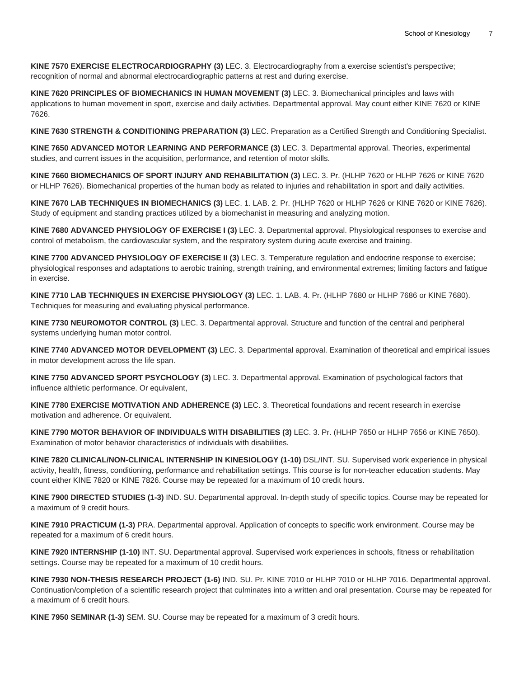**KINE 7570 EXERCISE ELECTROCARDIOGRAPHY (3)** LEC. 3. Electrocardiography from a exercise scientist's perspective; recognition of normal and abnormal electrocardiographic patterns at rest and during exercise.

**KINE 7620 PRINCIPLES OF BIOMECHANICS IN HUMAN MOVEMENT (3)** LEC. 3. Biomechanical principles and laws with applications to human movement in sport, exercise and daily activities. Departmental approval. May count either KINE 7620 or KINE 7626.

**KINE 7630 STRENGTH & CONDITIONING PREPARATION (3)** LEC. Preparation as a Certified Strength and Conditioning Specialist.

**KINE 7650 ADVANCED MOTOR LEARNING AND PERFORMANCE (3)** LEC. 3. Departmental approval. Theories, experimental studies, and current issues in the acquisition, performance, and retention of motor skills.

**KINE 7660 BIOMECHANICS OF SPORT INJURY AND REHABILITATION (3)** LEC. 3. Pr. (HLHP 7620 or HLHP 7626 or KINE 7620 or HLHP 7626). Biomechanical properties of the human body as related to injuries and rehabilitation in sport and daily activities.

**KINE 7670 LAB TECHNIQUES IN BIOMECHANICS (3)** LEC. 1. LAB. 2. Pr. (HLHP 7620 or HLHP 7626 or KINE 7620 or KINE 7626). Study of equipment and standing practices utilized by a biomechanist in measuring and analyzing motion.

**KINE 7680 ADVANCED PHYSIOLOGY OF EXERCISE I (3)** LEC. 3. Departmental approval. Physiological responses to exercise and control of metabolism, the cardiovascular system, and the respiratory system during acute exercise and training.

**KINE 7700 ADVANCED PHYSIOLOGY OF EXERCISE II (3)** LEC. 3. Temperature regulation and endocrine response to exercise; physiological responses and adaptations to aerobic training, strength training, and environmental extremes; limiting factors and fatigue in exercise.

**KINE 7710 LAB TECHNIQUES IN EXERCISE PHYSIOLOGY (3)** LEC. 1. LAB. 4. Pr. (HLHP 7680 or HLHP 7686 or KINE 7680). Techniques for measuring and evaluating physical performance.

**KINE 7730 NEUROMOTOR CONTROL (3)** LEC. 3. Departmental approval. Structure and function of the central and peripheral systems underlying human motor control.

**KINE 7740 ADVANCED MOTOR DEVELOPMENT (3)** LEC. 3. Departmental approval. Examination of theoretical and empirical issues in motor development across the life span.

**KINE 7750 ADVANCED SPORT PSYCHOLOGY (3)** LEC. 3. Departmental approval. Examination of psychological factors that influence althletic performance. Or equivalent,

**KINE 7780 EXERCISE MOTIVATION AND ADHERENCE (3)** LEC. 3. Theoretical foundations and recent research in exercise motivation and adherence. Or equivalent.

**KINE 7790 MOTOR BEHAVIOR OF INDIVIDUALS WITH DISABILITIES (3)** LEC. 3. Pr. (HLHP 7650 or HLHP 7656 or KINE 7650). Examination of motor behavior characteristics of individuals with disabilities.

**KINE 7820 CLINICAL/NON-CLINICAL INTERNSHIP IN KINESIOLOGY (1-10)** DSL/INT. SU. Supervised work experience in physical activity, health, fitness, conditioning, performance and rehabilitation settings. This course is for non-teacher education students. May count either KINE 7820 or KINE 7826. Course may be repeated for a maximum of 10 credit hours.

**KINE 7900 DIRECTED STUDIES (1-3)** IND. SU. Departmental approval. In-depth study of specific topics. Course may be repeated for a maximum of 9 credit hours.

**KINE 7910 PRACTICUM (1-3)** PRA. Departmental approval. Application of concepts to specific work environment. Course may be repeated for a maximum of 6 credit hours.

**KINE 7920 INTERNSHIP (1-10)** INT. SU. Departmental approval. Supervised work experiences in schools, fitness or rehabilitation settings. Course may be repeated for a maximum of 10 credit hours.

**KINE 7930 NON-THESIS RESEARCH PROJECT (1-6)** IND. SU. Pr. KINE 7010 or HLHP 7010 or HLHP 7016. Departmental approval. Continuation/completion of a scientific research project that culminates into a written and oral presentation. Course may be repeated for a maximum of 6 credit hours.

**KINE 7950 SEMINAR (1-3)** SEM. SU. Course may be repeated for a maximum of 3 credit hours.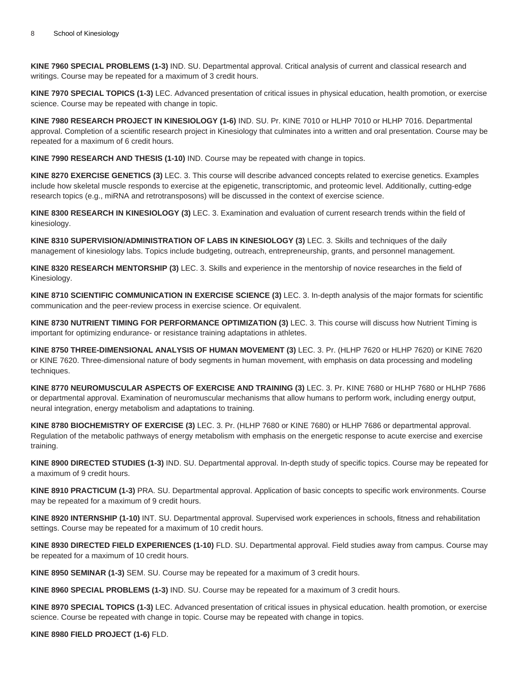**KINE 7960 SPECIAL PROBLEMS (1-3)** IND. SU. Departmental approval. Critical analysis of current and classical research and writings. Course may be repeated for a maximum of 3 credit hours.

**KINE 7970 SPECIAL TOPICS (1-3)** LEC. Advanced presentation of critical issues in physical education, health promotion, or exercise science. Course may be repeated with change in topic.

**KINE 7980 RESEARCH PROJECT IN KINESIOLOGY (1-6)** IND. SU. Pr. KINE 7010 or HLHP 7010 or HLHP 7016. Departmental approval. Completion of a scientific research project in Kinesiology that culminates into a written and oral presentation. Course may be repeated for a maximum of 6 credit hours.

**KINE 7990 RESEARCH AND THESIS (1-10)** IND. Course may be repeated with change in topics.

**KINE 8270 EXERCISE GENETICS (3)** LEC. 3. This course will describe advanced concepts related to exercise genetics. Examples include how skeletal muscle responds to exercise at the epigenetic, transcriptomic, and proteomic level. Additionally, cutting-edge research topics (e.g., miRNA and retrotransposons) will be discussed in the context of exercise science.

**KINE 8300 RESEARCH IN KINESIOLOGY (3)** LEC. 3. Examination and evaluation of current research trends within the field of kinesiology.

**KINE 8310 SUPERVISION/ADMINISTRATION OF LABS IN KINESIOLOGY (3)** LEC. 3. Skills and techniques of the daily management of kinesiology labs. Topics include budgeting, outreach, entrepreneurship, grants, and personnel management.

**KINE 8320 RESEARCH MENTORSHIP (3)** LEC. 3. Skills and experience in the mentorship of novice researches in the field of Kinesiology.

**KINE 8710 SCIENTIFIC COMMUNICATION IN EXERCISE SCIENCE (3)** LEC. 3. In-depth analysis of the major formats for scientific communication and the peer-review process in exercise science. Or equivalent.

**KINE 8730 NUTRIENT TIMING FOR PERFORMANCE OPTIMIZATION (3)** LEC. 3. This course will discuss how Nutrient Timing is important for optimizing endurance- or resistance training adaptations in athletes.

**KINE 8750 THREE-DIMENSIONAL ANALYSIS OF HUMAN MOVEMENT (3)** LEC. 3. Pr. (HLHP 7620 or HLHP 7620) or KINE 7620 or KINE 7620. Three-dimensional nature of body segments in human movement, with emphasis on data processing and modeling techniques.

**KINE 8770 NEUROMUSCULAR ASPECTS OF EXERCISE AND TRAINING (3)** LEC. 3. Pr. KINE 7680 or HLHP 7680 or HLHP 7686 or departmental approval. Examination of neuromuscular mechanisms that allow humans to perform work, including energy output, neural integration, energy metabolism and adaptations to training.

**KINE 8780 BIOCHEMISTRY OF EXERCISE (3)** LEC. 3. Pr. (HLHP 7680 or KINE 7680) or HLHP 7686 or departmental approval. Regulation of the metabolic pathways of energy metabolism with emphasis on the energetic response to acute exercise and exercise training.

**KINE 8900 DIRECTED STUDIES (1-3)** IND. SU. Departmental approval. In-depth study of specific topics. Course may be repeated for a maximum of 9 credit hours.

**KINE 8910 PRACTICUM (1-3)** PRA. SU. Departmental approval. Application of basic concepts to specific work environments. Course may be repeated for a maximum of 9 credit hours.

**KINE 8920 INTERNSHIP (1-10)** INT. SU. Departmental approval. Supervised work experiences in schools, fitness and rehabilitation settings. Course may be repeated for a maximum of 10 credit hours.

**KINE 8930 DIRECTED FIELD EXPERIENCES (1-10)** FLD. SU. Departmental approval. Field studies away from campus. Course may be repeated for a maximum of 10 credit hours.

**KINE 8950 SEMINAR (1-3)** SEM. SU. Course may be repeated for a maximum of 3 credit hours.

**KINE 8960 SPECIAL PROBLEMS (1-3)** IND. SU. Course may be repeated for a maximum of 3 credit hours.

**KINE 8970 SPECIAL TOPICS (1-3)** LEC. Advanced presentation of critical issues in physical education. health promotion, or exercise science. Course be repeated with change in topic. Course may be repeated with change in topics.

**KINE 8980 FIELD PROJECT (1-6)** FLD.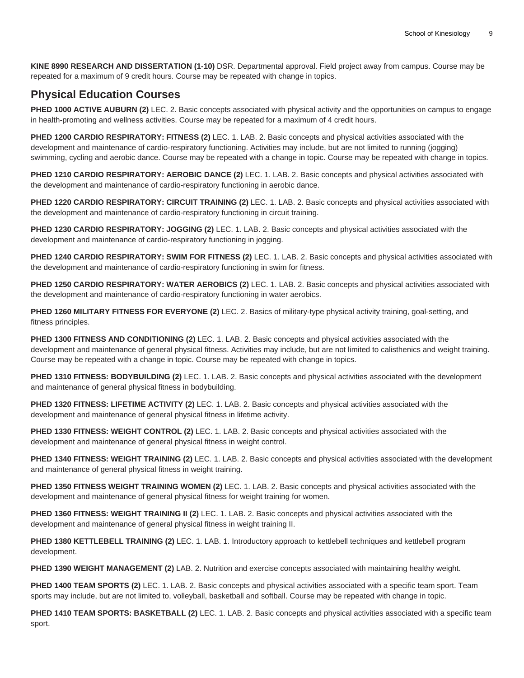**KINE 8990 RESEARCH AND DISSERTATION (1-10)** DSR. Departmental approval. Field project away from campus. Course may be repeated for a maximum of 9 credit hours. Course may be repeated with change in topics.

# **Physical Education Courses**

PHED 1000 ACTIVE AUBURN (2) LEC. 2. Basic concepts associated with physical activity and the opportunities on campus to engage in health-promoting and wellness activities. Course may be repeated for a maximum of 4 credit hours.

**PHED 1200 CARDIO RESPIRATORY: FITNESS (2)** LEC. 1. LAB. 2. Basic concepts and physical activities associated with the development and maintenance of cardio-respiratory functioning. Activities may include, but are not limited to running (jogging) swimming, cycling and aerobic dance. Course may be repeated with a change in topic. Course may be repeated with change in topics.

**PHED 1210 CARDIO RESPIRATORY: AEROBIC DANCE (2)** LEC. 1. LAB. 2. Basic concepts and physical activities associated with the development and maintenance of cardio-respiratory functioning in aerobic dance.

**PHED 1220 CARDIO RESPIRATORY: CIRCUIT TRAINING (2)** LEC. 1. LAB. 2. Basic concepts and physical activities associated with the development and maintenance of cardio-respiratory functioning in circuit training.

**PHED 1230 CARDIO RESPIRATORY: JOGGING (2)** LEC. 1. LAB. 2. Basic concepts and physical activities associated with the development and maintenance of cardio-respiratory functioning in jogging.

**PHED 1240 CARDIO RESPIRATORY: SWIM FOR FITNESS (2)** LEC. 1. LAB. 2. Basic concepts and physical activities associated with the development and maintenance of cardio-respiratory functioning in swim for fitness.

**PHED 1250 CARDIO RESPIRATORY: WATER AEROBICS (2)** LEC. 1. LAB. 2. Basic concepts and physical activities associated with the development and maintenance of cardio-respiratory functioning in water aerobics.

**PHED 1260 MILITARY FITNESS FOR EVERYONE (2)** LEC. 2. Basics of military-type physical activity training, goal-setting, and fitness principles.

**PHED 1300 FITNESS AND CONDITIONING (2)** LEC. 1. LAB. 2. Basic concepts and physical activities associated with the development and maintenance of general physical fitness. Activities may include, but are not limited to calisthenics and weight training. Course may be repeated with a change in topic. Course may be repeated with change in topics.

**PHED 1310 FITNESS: BODYBUILDING (2)** LEC. 1. LAB. 2. Basic concepts and physical activities associated with the development and maintenance of general physical fitness in bodybuilding.

**PHED 1320 FITNESS: LIFETIME ACTIVITY (2)** LEC. 1. LAB. 2. Basic concepts and physical activities associated with the development and maintenance of general physical fitness in lifetime activity.

**PHED 1330 FITNESS: WEIGHT CONTROL (2)** LEC. 1. LAB. 2. Basic concepts and physical activities associated with the development and maintenance of general physical fitness in weight control.

**PHED 1340 FITNESS: WEIGHT TRAINING (2)** LEC. 1. LAB. 2. Basic concepts and physical activities associated with the development and maintenance of general physical fitness in weight training.

**PHED 1350 FITNESS WEIGHT TRAINING WOMEN (2)** LEC. 1. LAB. 2. Basic concepts and physical activities associated with the development and maintenance of general physical fitness for weight training for women.

**PHED 1360 FITNESS: WEIGHT TRAINING II (2)** LEC. 1. LAB. 2. Basic concepts and physical activities associated with the development and maintenance of general physical fitness in weight training II.

**PHED 1380 KETTLEBELL TRAINING (2)** LEC. 1. LAB. 1. Introductory approach to kettlebell techniques and kettlebell program development.

**PHED 1390 WEIGHT MANAGEMENT (2)** LAB. 2. Nutrition and exercise concepts associated with maintaining healthy weight.

**PHED 1400 TEAM SPORTS (2)** LEC. 1. LAB. 2. Basic concepts and physical activities associated with a specific team sport. Team sports may include, but are not limited to, volleyball, basketball and softball. Course may be repeated with change in topic.

**PHED 1410 TEAM SPORTS: BASKETBALL (2)** LEC. 1. LAB. 2. Basic concepts and physical activities associated with a specific team sport.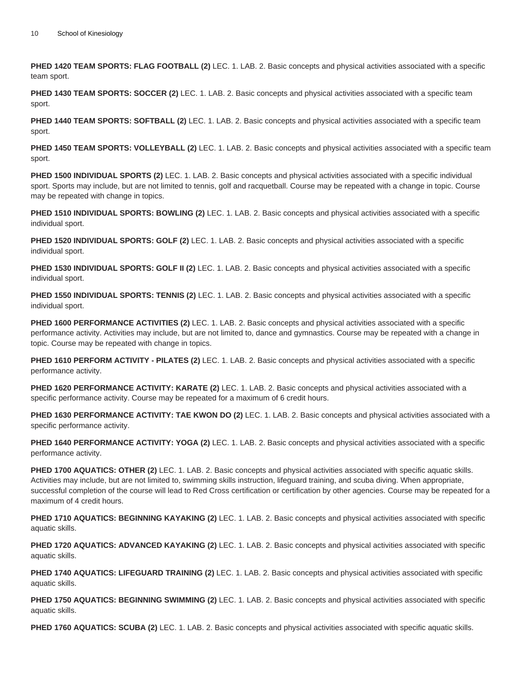**PHED 1420 TEAM SPORTS: FLAG FOOTBALL (2)** LEC. 1. LAB. 2. Basic concepts and physical activities associated with a specific team sport.

**PHED 1430 TEAM SPORTS: SOCCER (2)** LEC. 1. LAB. 2. Basic concepts and physical activities associated with a specific team sport.

**PHED 1440 TEAM SPORTS: SOFTBALL (2)** LEC. 1. LAB. 2. Basic concepts and physical activities associated with a specific team sport.

**PHED 1450 TEAM SPORTS: VOLLEYBALL (2)** LEC. 1. LAB. 2. Basic concepts and physical activities associated with a specific team sport.

**PHED 1500 INDIVIDUAL SPORTS (2)** LEC. 1. LAB. 2. Basic concepts and physical activities associated with a specific individual sport. Sports may include, but are not limited to tennis, golf and racquetball. Course may be repeated with a change in topic. Course may be repeated with change in topics.

**PHED 1510 INDIVIDUAL SPORTS: BOWLING (2)** LEC. 1. LAB. 2. Basic concepts and physical activities associated with a specific individual sport.

**PHED 1520 INDIVIDUAL SPORTS: GOLF (2)** LEC. 1. LAB. 2. Basic concepts and physical activities associated with a specific individual sport.

**PHED 1530 INDIVIDUAL SPORTS: GOLF II (2)** LEC. 1. LAB. 2. Basic concepts and physical activities associated with a specific individual sport.

**PHED 1550 INDIVIDUAL SPORTS: TENNIS (2)** LEC. 1. LAB. 2. Basic concepts and physical activities associated with a specific individual sport.

**PHED 1600 PERFORMANCE ACTIVITIES (2)** LEC. 1. LAB. 2. Basic concepts and physical activities associated with a specific performance activity. Activities may include, but are not limited to, dance and gymnastics. Course may be repeated with a change in topic. Course may be repeated with change in topics.

**PHED 1610 PERFORM ACTIVITY - PILATES (2)** LEC. 1. LAB. 2. Basic concepts and physical activities associated with a specific performance activity.

**PHED 1620 PERFORMANCE ACTIVITY: KARATE (2)** LEC. 1. LAB. 2. Basic concepts and physical activities associated with a specific performance activity. Course may be repeated for a maximum of 6 credit hours.

**PHED 1630 PERFORMANCE ACTIVITY: TAE KWON DO (2)** LEC. 1. LAB. 2. Basic concepts and physical activities associated with a specific performance activity.

**PHED 1640 PERFORMANCE ACTIVITY: YOGA (2)** LEC. 1. LAB. 2. Basic concepts and physical activities associated with a specific performance activity.

**PHED 1700 AQUATICS: OTHER (2)** LEC. 1. LAB. 2. Basic concepts and physical activities associated with specific aquatic skills. Activities may include, but are not limited to, swimming skills instruction, lifeguard training, and scuba diving. When appropriate, successful completion of the course will lead to Red Cross certification or certification by other agencies. Course may be repeated for a maximum of 4 credit hours.

**PHED 1710 AQUATICS: BEGINNING KAYAKING (2)** LEC. 1. LAB. 2. Basic concepts and physical activities associated with specific aquatic skills.

**PHED 1720 AQUATICS: ADVANCED KAYAKING (2)** LEC. 1. LAB. 2. Basic concepts and physical activities associated with specific aquatic skills.

**PHED 1740 AQUATICS: LIFEGUARD TRAINING (2)** LEC. 1. LAB. 2. Basic concepts and physical activities associated with specific aquatic skills.

**PHED 1750 AQUATICS: BEGINNING SWIMMING (2)** LEC. 1. LAB. 2. Basic concepts and physical activities associated with specific aquatic skills.

**PHED 1760 AQUATICS: SCUBA (2)** LEC. 1. LAB. 2. Basic concepts and physical activities associated with specific aquatic skills.